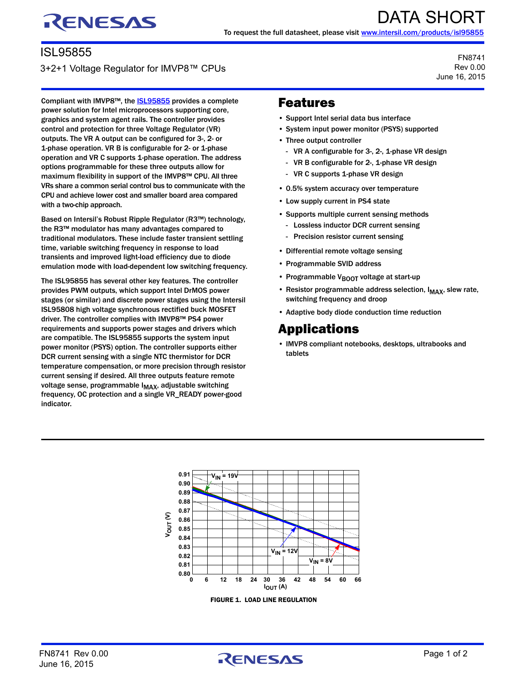# RENESAS

### ISL95855

#### 3+2+1 Voltage Regulator for IMVP8™ CPUs

Compliant with IMVP8™, the **ISL95855** provides a complete power solution for Intel microprocessors supporting core, graphics and system agent rails. The controller provides control and protection for three Voltage Regulator (VR) outputs. The VR A output can be configured for 3-, 2- or 1-phase operation. VR B is configurable for 2- or 1-phase operation and VR C supports 1-phase operation. The address options programmable for these three outputs allow for maximum flexibility in support of the IMVP8™ CPU. All three VRs share a common serial control bus to communicate with the CPU and achieve lower cost and smaller board area compared with a two-chip approach.

Based on Intersil's Robust Ripple Regulator (R3™) technology, the R3™ modulator has many advantages compared to traditional modulators. These include faster transient settling time, variable switching frequency in response to load transients and improved light-load efficiency due to diode emulation mode with load-dependent low switching frequency.

The ISL95855 has several other key features. The controller provides PWM outputs, which support Intel DrMOS power stages (or similar) and discrete power stages using the Intersil ISL95808 high voltage synchronous rectified buck MOSFET driver. The controller complies with IMVP8™ PS4 power requirements and supports power stages and drivers which are compatible. The ISL95855 supports the system input power monitor (PSYS) option. The controller supports either DCR current sensing with a single NTC thermistor for DCR temperature compensation, or more precision through resistor current sensing if desired. All three outputs feature remote voltage sense, programmable I<sub>MAX</sub>, adjustable switching frequency, OC protection and a single VR\_READY power-good indicator.

## Features

- Support Intel serial data bus interface
- System input power monitor (PSYS) supported
- Three output controller
	- VR A configurable for 3-, 2-, 1-phase VR design

FN8741 Rev 0.00 June 16, 2015

- VR B configurable for 2-, 1-phase VR design
- VR C supports 1-phase VR design
- 0.5% system accuracy over temperature
- Low supply current in PS4 state
- Supports multiple current sensing methods
	- Lossless inductor DCR current sensing
	- Precision resistor current sensing
- Differential remote voltage sensing
- Programmable SVID address
- Programmable V<sub>BOOT</sub> voltage at start-up
- Resistor programmable address selection,  $I_{MAX}$ , slew rate, switching frequency and droop
- Adaptive body diode conduction time reduction

## Applications

• IMVP8 compliant notebooks, desktops, ultrabooks and tablets